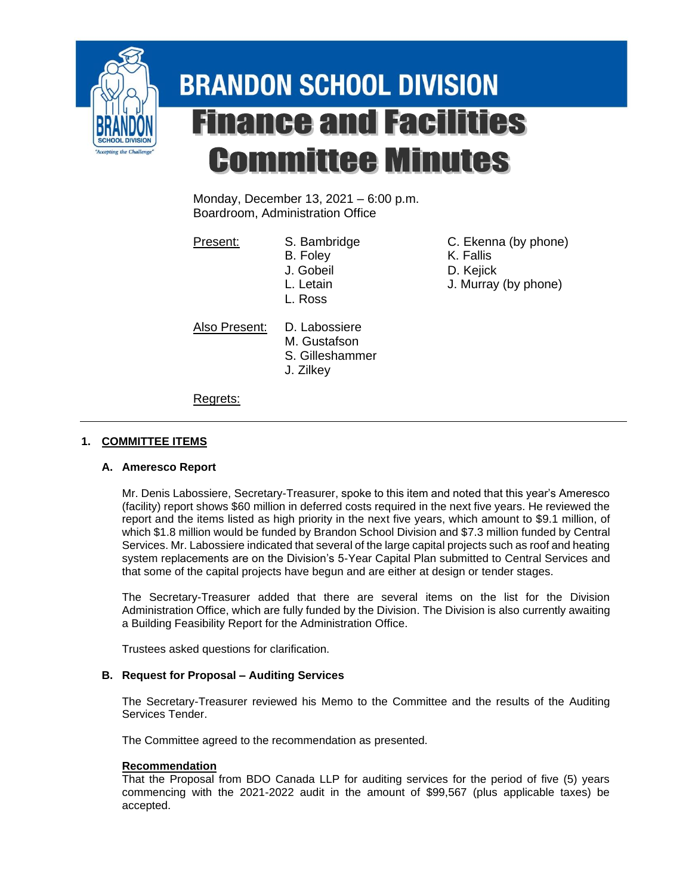

# **BRANDON SCHOOL DIVISION Finance and Facilities Committee Minutes**

Monday, December 13, 2021 – 6:00 p.m. Boardroom, Administration Office

- 
- 
- L. Ross
- Also Present: D. Labossiere
	- M. Gustafson
		- S. Gilleshammer
		- J. Zilkey
- Present: S. Bambridge C. Ekenna (by phone)
	- B. Foley K. Fallis
	- J. Gobeil D. Kejick
	- L. Letain J. Murray (by phone)

Regrets:

## **1. COMMITTEE ITEMS**

### **A. Ameresco Report**

Mr. Denis Labossiere, Secretary-Treasurer, spoke to this item and noted that this year's Ameresco (facility) report shows \$60 million in deferred costs required in the next five years. He reviewed the report and the items listed as high priority in the next five years, which amount to \$9.1 million, of which \$1.8 million would be funded by Brandon School Division and \$7.3 million funded by Central Services. Mr. Labossiere indicated that several of the large capital projects such as roof and heating system replacements are on the Division's 5-Year Capital Plan submitted to Central Services and that some of the capital projects have begun and are either at design or tender stages.

The Secretary-Treasurer added that there are several items on the list for the Division Administration Office, which are fully funded by the Division. The Division is also currently awaiting a Building Feasibility Report for the Administration Office.

Trustees asked questions for clarification.

### **B. Request for Proposal – Auditing Services**

The Secretary-Treasurer reviewed his Memo to the Committee and the results of the Auditing Services Tender.

The Committee agreed to the recommendation as presented.

### **Recommendation**

That the Proposal from BDO Canada LLP for auditing services for the period of five (5) years commencing with the 2021-2022 audit in the amount of \$99,567 (plus applicable taxes) be accepted.